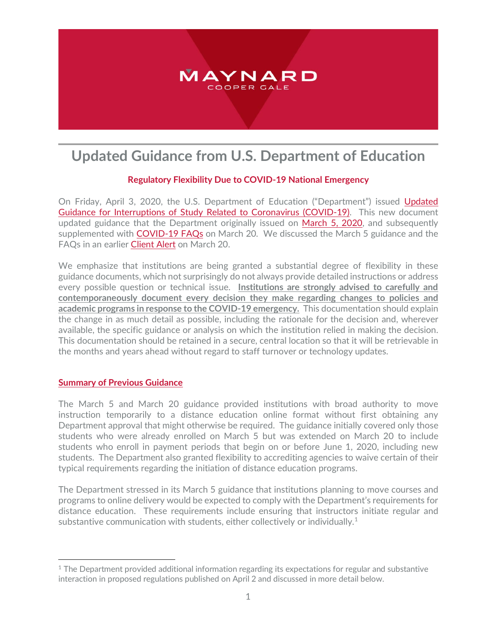

# **Updated Guidance from U.S. Department of Education**

# **Regulatory Flexibility Due to COVID-19 National Emergency**

On Friday, April 3, 2020, the U.S. Department of Education ("Department") issued [Updated](https://ifap.ed.gov/electronic-announcements/040320UPDATEDGuidanceInterruptStudyRelCOVID19)  [Guidance for Interruptions of Study Related to Coronavirus \(COVID-19\).](https://ifap.ed.gov/electronic-announcements/040320UPDATEDGuidanceInterruptStudyRelCOVID19) This new document updated guidance that the Department originally issued on [March 5, 2020,](https://ifap.ed.gov/electronic-announcements/030520Guidance4interruptionsrelated2CoronavirusCOVID19) and subsequently supplemented with [COVID-19 FAQs](http://ifap.ed.gov/sites/default/files/attachments/2020-03/COVID-19FAQs.docx) on March 20. We discussed the March 5 guidance and the FAQs in an earlier [Client Alert](https://www.maynardcooper.com/an-update-for-higher-education-institutions-regarding-covid-19/) on March 20.

We emphasize that institutions are being granted a substantial degree of flexibility in these guidance documents, which not surprisingly do not always provide detailed instructions or address every possible question or technical issue. **Institutions are strongly advised to carefully and contemporaneously document every decision they make regarding changes to policies and academic programs in response to the COVID-19 emergency.** This documentation should explain the change in as much detail as possible, including the rationale for the decision and, wherever available, the specific guidance or analysis on which the institution relied in making the decision. This documentation should be retained in a secure, central location so that it will be retrievable in the months and years ahead without regard to staff turnover or technology updates.

### **Summary of Previous Guidance**

The March 5 and March 20 guidance provided institutions with broad authority to move instruction temporarily to a distance education online format without first obtaining any Department approval that might otherwise be required. The guidance initially covered only those students who were already enrolled on March 5 but was extended on March 20 to include students who enroll in payment periods that begin on or before June 1, 2020, including new students. The Department also granted flexibility to accrediting agencies to waive certain of their typical requirements regarding the initiation of distance education programs.

The Department stressed in its March 5 guidance that institutions planning to move courses and programs to online delivery would be expected to comply with the Department's requirements for distance education. These requirements include ensuring that instructors initiate regular and substantive communication with students, either collectively or individually.<sup>[1](#page-0-0)</sup>

<span id="page-0-0"></span> $\overline{a}$ <sup>1</sup> The Department provided additional information regarding its expectations for regular and substantive interaction in proposed regulations published on April 2 and discussed in more detail below.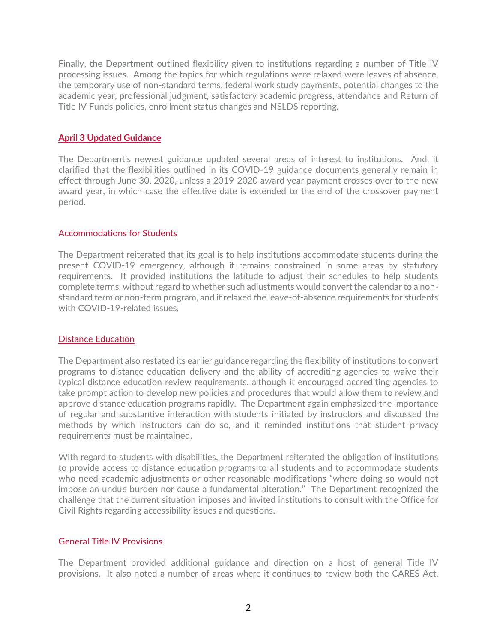Finally, the Department outlined flexibility given to institutions regarding a number of Title IV processing issues. Among the topics for which regulations were relaxed were leaves of absence, the temporary use of non-standard terms, federal work study payments, potential changes to the academic year, professional judgment, satisfactory academic progress, attendance and Return of Title IV Funds policies, enrollment status changes and NSLDS reporting.

## **April 3 Updated Guidance**

The Department's newest guidance updated several areas of interest to institutions. And, it clarified that the flexibilities outlined in its COVID-19 guidance documents generally remain in effect through June 30, 2020, unless a 2019-2020 award year payment crosses over to the new award year, in which case the effective date is extended to the end of the crossover payment period.

### Accommodations for Students

The Department reiterated that its goal is to help institutions accommodate students during the present COVID-19 emergency, although it remains constrained in some areas by statutory requirements. It provided institutions the latitude to adjust their schedules to help students complete terms, without regard to whether such adjustments would convert the calendar to a nonstandard term or non-term program, and it relaxed the leave-of-absence requirements for students with COVID-19-related issues.

### Distance Education

The Department also restated its earlier guidance regarding the flexibility of institutions to convert programs to distance education delivery and the ability of accrediting agencies to waive their typical distance education review requirements, although it encouraged accrediting agencies to take prompt action to develop new policies and procedures that would allow them to review and approve distance education programs rapidly. The Department again emphasized the importance of regular and substantive interaction with students initiated by instructors and discussed the methods by which instructors can do so, and it reminded institutions that student privacy requirements must be maintained.

With regard to students with disabilities, the Department reiterated the obligation of institutions to provide access to distance education programs to all students and to accommodate students who need academic adjustments or other reasonable modifications "where doing so would not impose an undue burden nor cause a fundamental alteration." The Department recognized the challenge that the current situation imposes and invited institutions to consult with the Office for Civil Rights regarding accessibility issues and questions.

### General Title IV Provisions

The Department provided additional guidance and direction on a host of general Title IV provisions. It also noted a number of areas where it continues to review both the CARES Act,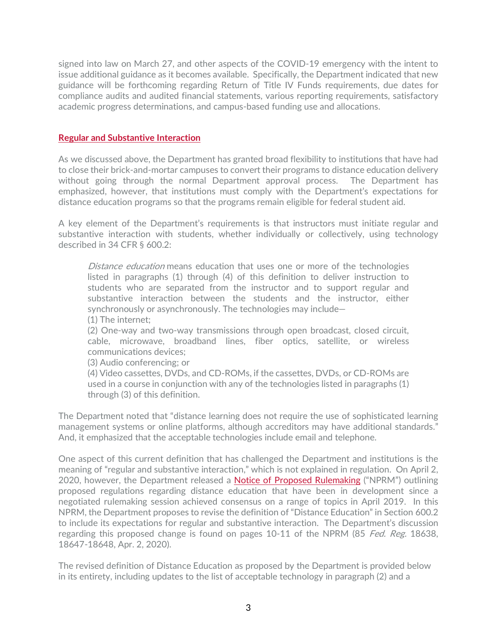signed into law on March 27, and other aspects of the COVID-19 emergency with the intent to issue additional guidance as it becomes available. Specifically, the Department indicated that new guidance will be forthcoming regarding Return of Title IV Funds requirements, due dates for compliance audits and audited financial statements, various reporting requirements, satisfactory academic progress determinations, and campus-based funding use and allocations.

### **Regular and Substantive Interaction**

As we discussed above, the Department has granted broad flexibility to institutions that have had to close their brick-and-mortar campuses to convert their programs to distance education delivery without going through the normal Department approval process. The Department has emphasized, however, that institutions must comply with the Department's expectations for distance education programs so that the programs remain eligible for federal student aid.

A key element of the Department's requirements is that instructors must initiate regular and substantive interaction with students, whether individually or collectively, using technology described in 34 CFR § 600.2:

Distance education means education that uses one or more of the technologies listed in paragraphs (1) through (4) of this definition to deliver instruction to students who are separated from the instructor and to support regular and substantive interaction between the students and the instructor, either synchronously or asynchronously. The technologies may include— (1) The internet;

(2) One-way and two-way transmissions through open broadcast, closed circuit, cable, microwave, broadband lines, fiber optics, satellite, or wireless communications devices;

(3) Audio conferencing; or

(4) Video cassettes, DVDs, and CD-ROMs, if the cassettes, DVDs, or CD-ROMs are used in a course in conjunction with any of the technologies listed in paragraphs (1) through (3) of this definition.

The Department noted that "distance learning does not require the use of sophisticated learning management systems or online platforms, although accreditors may have additional standards." And, it emphasized that the acceptable technologies include email and telephone.

One aspect of this current definition that has challenged the Department and institutions is the meaning of "regular and substantive interaction," which is not explained in regulation. On April 2, 2020, however, the Department released a **Notice of Proposed Rulemaking** ("NPRM") outlining proposed regulations regarding distance education that have been in development since a negotiated rulemaking session achieved consensus on a range of topics in April 2019. In this NPRM, the Department proposes to revise the definition of "Distance Education" in Section 600.2 to include its expectations for regular and substantive interaction. The Department's discussion regarding this proposed change is found on pages 10-11 of the NPRM (85 Fed. Reg. 18638, 18647-18648, Apr. 2, 2020).

The revised definition of Distance Education as proposed by the Department is provided below in its entirety, including updates to the list of acceptable technology in paragraph (2) and a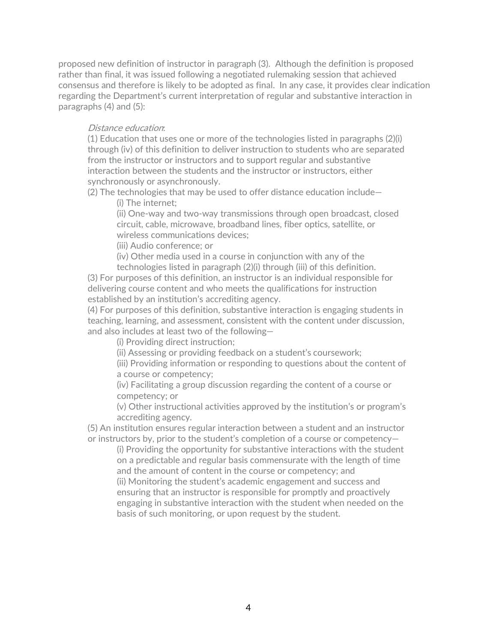proposed new definition of instructor in paragraph (3). Although the definition is proposed rather than final, it was issued following a negotiated rulemaking session that achieved consensus and therefore is likely to be adopted as final. In any case, it provides clear indication regarding the Department's current interpretation of regular and substantive interaction in paragraphs (4) and (5):

#### Distance education:

(1) Education that uses one or more of the technologies listed in paragraphs (2)(i) through (iv) of this definition to deliver instruction to students who are separated from the instructor or instructors and to support regular and substantive interaction between the students and the instructor or instructors, either synchronously or asynchronously.

(2) The technologies that may be used to offer distance education include—

(i) The internet;

(ii) One-way and two-way transmissions through open broadcast, closed circuit, cable, microwave, broadband lines, fiber optics, satellite, or wireless communications devices;

(iii) Audio conference; or

(iv) Other media used in a course in conjunction with any of the technologies listed in paragraph (2)(i) through (iii) of this definition.

(3) For purposes of this definition, an instructor is an individual responsible for delivering course content and who meets the qualifications for instruction established by an institution's accrediting agency.

(4) For purposes of this definition, substantive interaction is engaging students in teaching, learning, and assessment, consistent with the content under discussion, and also includes at least two of the following—

(i) Providing direct instruction;

(ii) Assessing or providing feedback on a student's coursework;

(iii) Providing information or responding to questions about the content of a course or competency;

(iv) Facilitating a group discussion regarding the content of a course or competency; or

(v) Other instructional activities approved by the institution's or program's accrediting agency.

(5) An institution ensures regular interaction between a student and an instructor or instructors by, prior to the student's completion of a course or competency—

(i) Providing the opportunity for substantive interactions with the student on a predictable and regular basis commensurate with the length of time and the amount of content in the course or competency; and (ii) Monitoring the student's academic engagement and success and ensuring that an instructor is responsible for promptly and proactively engaging in substantive interaction with the student when needed on the

basis of such monitoring, or upon request by the student.